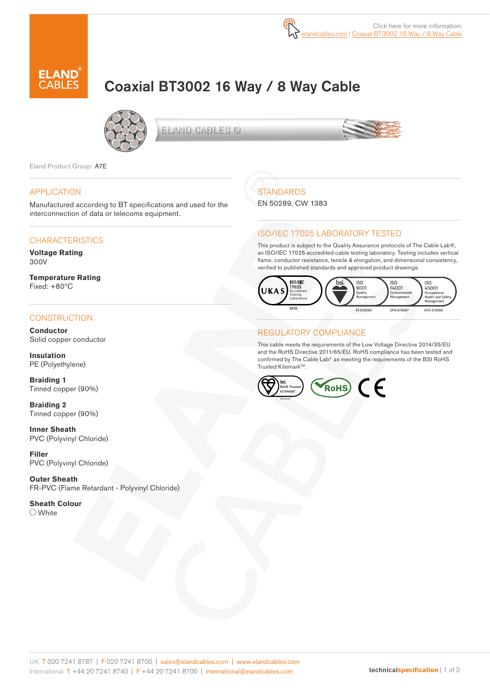

# Coaxial BT3002 16 Way / 8 Way Cable



ELAND CABLES @



Eland Product Group: A7E

#### APPLICATION

Manufactured according to BT specifications and used for the interconnection of data or telecoms equipment.

### **CHARACTERISTICS**

**Voltage Rating**  300V

**Temperature Rating** Fixed: +80ºC

### **CONSTRUCTION**

**Conductor** Solid copper conductor

**Insulation** PE (Polyethylene)

**Braiding 1** Tinned copper (90%)

**Braiding 2** Tinned copper (90%)

**Inner Sheath** PVC (Polyvinyl Chloride)

**Filler** PVC (Polyvinyl Chloride)

**Outer Sheath** FR-PVC (Flame Retardant - Polyvinyl Chloride)

**Sheath Colour** O White

# **STANDARDS**

EN 50289, CW 1383

### ISO/IEC 17025 LABORATORY TESTED

This product is subject to the Quality Assurance protocols of The Cable Lab®, an ISO/IEC 17025 accredited cable testing laboratory. Testing includes vertical flame, conductor resistance, tensile & elongation, and dimensional consistency, verified to published standards and approved product drawings.



### REGULATORY COMPLIANCE

This cable meets the requirements of the Low Voltage Directive 2014/35/EU and the RoHS Directive 2011/65/EU. RoHS compliance has been tested and confirmed by The Cable Lab® as meeting the requirements of the BSI RoHS Trusted Kitemark™.